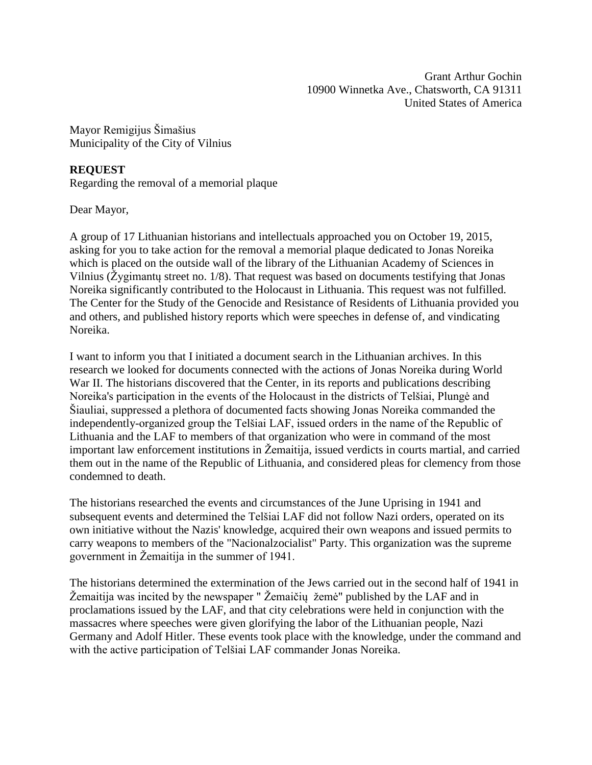Grant Arthur Gochin 10900 Winnetka Ave., Chatsworth, CA 91311 United States of America

Mayor Remigijus Šimašius Municipality of the City of Vilnius

## **REQUEST**

Regarding the removal of a memorial plaque

Dear Mayor,

A group of 17 Lithuanian historians and intellectuals approached you on October 19, 2015, asking for you to take action for the removal a memorial plaque dedicated to Jonas Noreika which is placed on the outside wall of the library of the Lithuanian Academy of Sciences in Vilnius (Žygimantų street no. 1/8). That request was based on documents testifying that Jonas Noreika significantly contributed to the Holocaust in Lithuania. This request was not fulfilled. The Center for the Study of the Genocide and Resistance of Residents of Lithuania provided you and others, and published history reports which were speeches in defense of, and vindicating Noreika.

I want to inform you that I initiated a document search in the Lithuanian archives. In this research we looked for documents connected with the actions of Jonas Noreika during World War II. The historians discovered that the Center, in its reports and publications describing Noreika's participation in the events of the Holocaust in the districts of Telšiai, Plungė and Šiauliai, suppressed a plethora of documented facts showing Jonas Noreika commanded the independently-organized group the Telšiai LAF, issued orders in the name of the Republic of Lithuania and the LAF to members of that organization who were in command of the most important law enforcement institutions in Žemaitija, issued verdicts in courts martial, and carried them out in the name of the Republic of Lithuania, and considered pleas for clemency from those condemned to death.

The historians researched the events and circumstances of the June Uprising in 1941 and subsequent events and determined the Telšiai LAF did not follow Nazi orders, operated on its own initiative without the Nazis' knowledge, acquired their own weapons and issued permits to carry weapons to members of the "Nacionalzocialist" Party. This organization was the supreme government in Žemaitija in the summer of 1941.

The historians determined the extermination of the Jews carried out in the second half of 1941 in Žemaitija was incited by the newspaper " Žemaičių žemė" published by the LAF and in proclamations issued by the LAF, and that city celebrations were held in conjunction with the massacres where speeches were given glorifying the labor of the Lithuanian people, Nazi Germany and Adolf Hitler. These events took place with the knowledge, under the command and with the active participation of Telšiai LAF commander Jonas Noreika.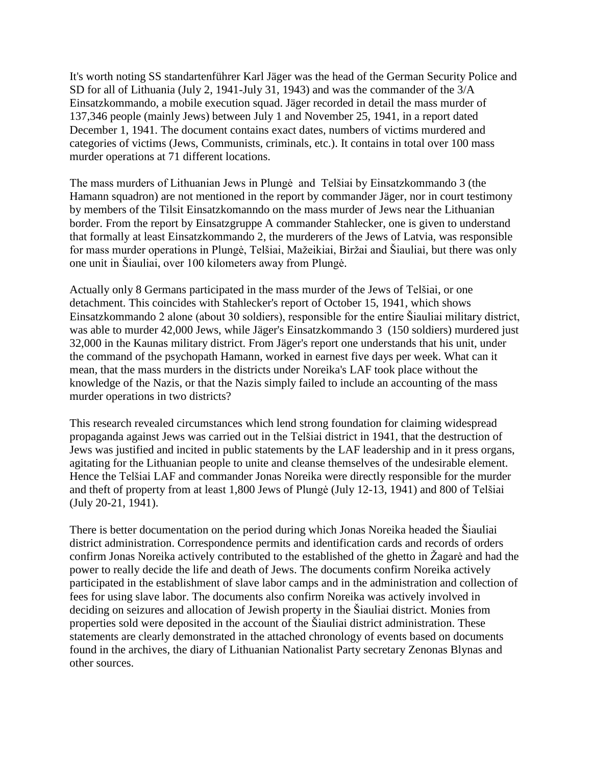It's worth noting SS standartenführer Karl Jäger was the head of the German Security Police and SD for all of Lithuania (July 2, 1941-July 31, 1943) and was the commander of the 3/A Einsatzkommando, a mobile execution squad. Jäger recorded in detail the mass murder of 137,346 people (mainly Jews) between July 1 and November 25, 1941, in a report dated December 1, 1941. The document contains exact dates, numbers of victims murdered and categories of victims (Jews, Communists, criminals, etc.). It contains in total over 100 mass murder operations at 71 different locations.

The mass murders of Lithuanian Jews in Plungė and Telšiai by Einsatzkommando 3 (the Hamann squadron) are not mentioned in the report by commander Jäger, nor in court testimony by members of the Tilsit Einsatzkomanndo on the mass murder of Jews near the Lithuanian border. From the report by Einsatzgruppe A commander Stahlecker, one is given to understand that formally at least Einsatzkommando 2, the murderers of the Jews of Latvia, was responsible for mass murder operations in Plungė, Telšiai, Mažeikiai, Biržai and Šiauliai, but there was only one unit in Šiauliai, over 100 kilometers away from Plungė.

Actually only 8 Germans participated in the mass murder of the Jews of Telšiai, or one detachment. This coincides with Stahlecker's report of October 15, 1941, which shows Einsatzkommando 2 alone (about 30 soldiers), responsible for the entire Šiauliai military district, was able to murder 42,000 Jews, while Jäger's Einsatzkommando 3 (150 soldiers) murdered just 32,000 in the Kaunas military district. From Jäger's report one understands that his unit, under the command of the psychopath Hamann, worked in earnest five days per week. What can it mean, that the mass murders in the districts under Noreika's LAF took place without the knowledge of the Nazis, or that the Nazis simply failed to include an accounting of the mass murder operations in two districts?

This research revealed circumstances which lend strong foundation for claiming widespread propaganda against Jews was carried out in the Telšiai district in 1941, that the destruction of Jews was justified and incited in public statements by the LAF leadership and in it press organs, agitating for the Lithuanian people to unite and cleanse themselves of the undesirable element. Hence the Telšiai LAF and commander Jonas Noreika were directly responsible for the murder and theft of property from at least 1,800 Jews of Plungė (July 12-13, 1941) and 800 of Telšiai (July 20-21, 1941).

There is better documentation on the period during which Jonas Noreika headed the Šiauliai district administration. Correspondence permits and identification cards and records of orders confirm Jonas Noreika actively contributed to the established of the ghetto in Žagarė and had the power to really decide the life and death of Jews. The documents confirm Noreika actively participated in the establishment of slave labor camps and in the administration and collection of fees for using slave labor. The documents also confirm Noreika was actively involved in deciding on seizures and allocation of Jewish property in the Šiauliai district. Monies from properties sold were deposited in the account of the Šiauliai district administration. These statements are clearly demonstrated in the attached chronology of events based on documents found in the archives, the diary of Lithuanian Nationalist Party secretary Zenonas Blynas and other sources.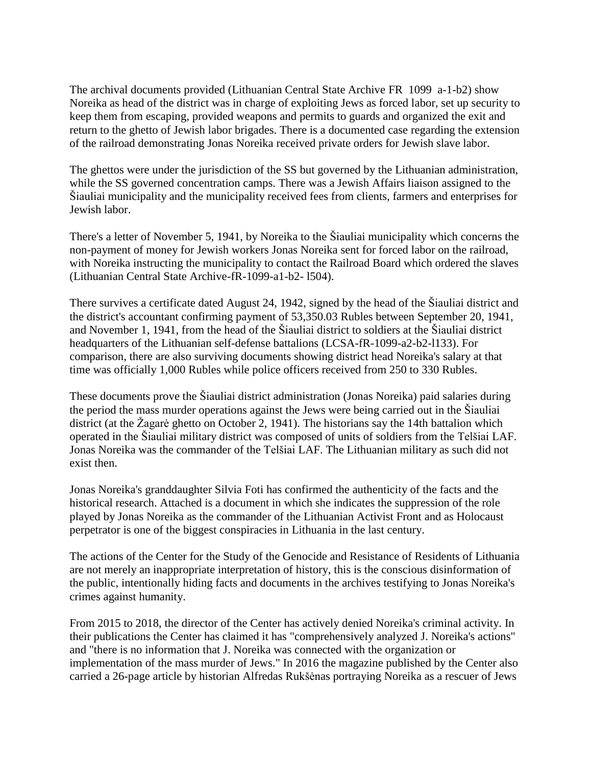The archival documents provided (Lithuanian Central State Archive FR 1099 a-1-b2) show Noreika as head of the district was in charge of exploiting Jews as forced labor, set up security to keep them from escaping, provided weapons and permits to guards and organized the exit and return to the ghetto of Jewish labor brigades. There is a documented case regarding the extension of the railroad demonstrating Jonas Noreika received private orders for Jewish slave labor.

The ghettos were under the jurisdiction of the SS but governed by the Lithuanian administration, while the SS governed concentration camps. There was a Jewish Affairs liaison assigned to the Šiauliai municipality and the municipality received fees from clients, farmers and enterprises for Jewish labor.

There's a letter of November 5, 1941, by Noreika to the Šiauliai municipality which concerns the non-payment of money for Jewish workers Jonas Noreika sent for forced labor on the railroad, with Noreika instructing the municipality to contact the Railroad Board which ordered the slaves (Lithuanian Central State Archive-fR-1099-a1-b2- l504).

There survives a certificate dated August 24, 1942, signed by the head of the Šiauliai district and the district's accountant confirming payment of 53,350.03 Rubles between September 20, 1941, and November 1, 1941, from the head of the Šiauliai district to soldiers at the Šiauliai district headquarters of the Lithuanian self-defense battalions (LCSA-fR-1099-a2-b2-l133). For comparison, there are also surviving documents showing district head Noreika's salary at that time was officially 1,000 Rubles while police officers received from 250 to 330 Rubles.

These documents prove the Šiauliai district administration (Jonas Noreika) paid salaries during the period the mass murder operations against the Jews were being carried out in the Šiauliai district (at the Žagarė ghetto on October 2, 1941). The historians say the 14th battalion which operated in the Šiauliai military district was composed of units of soldiers from the Telšiai LAF. Jonas Noreika was the commander of the Telšiai LAF. The Lithuanian military as such did not exist then.

Jonas Noreika's granddaughter Silvia Foti has confirmed the authenticity of the facts and the historical research. Attached is a document in which she indicates the suppression of the role played by Jonas Noreika as the commander of the Lithuanian Activist Front and as Holocaust perpetrator is one of the biggest conspiracies in Lithuania in the last century.

The actions of the Center for the Study of the Genocide and Resistance of Residents of Lithuania are not merely an inappropriate interpretation of history, this is the conscious disinformation of the public, intentionally hiding facts and documents in the archives testifying to Jonas Noreika's crimes against humanity.

From 2015 to 2018, the director of the Center has actively denied Noreika's criminal activity. In their publications the Center has claimed it has "comprehensively analyzed J. Noreika's actions" and "there is no information that J. Noreika was connected with the organization or implementation of the mass murder of Jews." In 2016 the magazine published by the Center also carried a 26-page article by historian Alfredas Rukšėnas portraying Noreika as a rescuer of Jews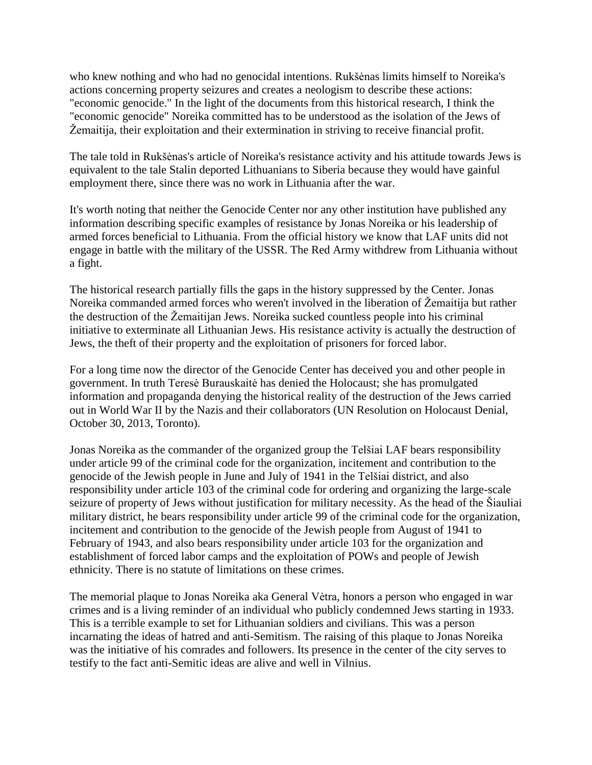who knew nothing and who had no genocidal intentions. Rukšėnas limits himself to Noreika's actions concerning property seizures and creates a neologism to describe these actions: "economic genocide." In the light of the documents from this historical research, I think the "economic genocide" Noreika committed has to be understood as the isolation of the Jews of Žemaitija, their exploitation and their extermination in striving to receive financial profit.

The tale told in Rukšėnas's article of Noreika's resistance activity and his attitude towards Jews is equivalent to the tale Stalin deported Lithuanians to Siberia because they would have gainful employment there, since there was no work in Lithuania after the war.

It's worth noting that neither the Genocide Center nor any other institution have published any information describing specific examples of resistance by Jonas Noreika or his leadership of armed forces beneficial to Lithuania. From the official history we know that LAF units did not engage in battle with the military of the USSR. The Red Army withdrew from Lithuania without a fight.

The historical research partially fills the gaps in the history suppressed by the Center. Jonas Noreika commanded armed forces who weren't involved in the liberation of Žemaitija but rather the destruction of the Žemaitijan Jews. Noreika sucked countless people into his criminal initiative to exterminate all Lithuanian Jews. His resistance activity is actually the destruction of Jews, the theft of their property and the exploitation of prisoners for forced labor.

For a long time now the director of the Genocide Center has deceived you and other people in government. In truth Teresė Burauskaitė has denied the Holocaust; she has promulgated information and propaganda denying the historical reality of the destruction of the Jews carried out in World War II by the Nazis and their collaborators (UN Resolution on Holocaust Denial, October 30, 2013, Toronto).

Jonas Noreika as the commander of the organized group the Telšiai LAF bears responsibility under article 99 of the criminal code for the organization, incitement and contribution to the genocide of the Jewish people in June and July of 1941 in the Telšiai district, and also responsibility under article 103 of the criminal code for ordering and organizing the large-scale seizure of property of Jews without justification for military necessity. As the head of the Šiauliai military district, he bears responsibility under article 99 of the criminal code for the organization, incitement and contribution to the genocide of the Jewish people from August of 1941 to February of 1943, and also bears responsibility under article 103 for the organization and establishment of forced labor camps and the exploitation of POWs and people of Jewish ethnicity. There is no statute of limitations on these crimes.

The memorial plaque to Jonas Noreika aka General Vėtra, honors a person who engaged in war crimes and is a living reminder of an individual who publicly condemned Jews starting in 1933. This is a terrible example to set for Lithuanian soldiers and civilians. This was a person incarnating the ideas of hatred and anti-Semitism. The raising of this plaque to Jonas Noreika was the initiative of his comrades and followers. Its presence in the center of the city serves to testify to the fact anti-Semitic ideas are alive and well in Vilnius.